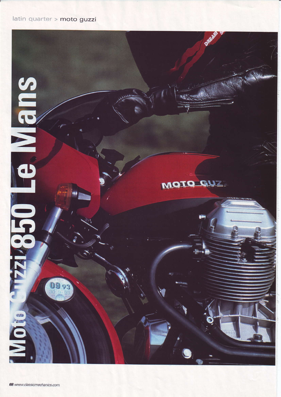## latin quarter > moto guzzi